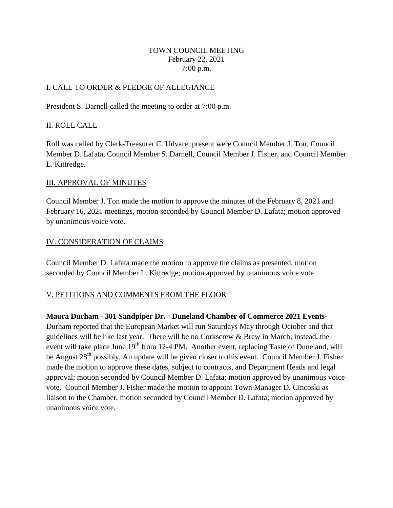#### TOWN COUNCIL MEETING February 22, 2021 7*:*00 p.m.

# I. CALL TO ORDER & PLEDGE OF ALLEGIANCE

President S. Darnell called the meeting to order at 7:00 p.m.

# II. ROLL CALL

Roll was called by Clerk-Treasurer C. Udvare; present were Council Member J. Ton, Council Member D. Lafata, Council Member S. Darnell, Council Member J. Fisher, and Council Member L. Kittredge.

# III. APPROVAL OF MINUTES

Council Member J. Ton made the motion to approve the minutes of the February 8, 2021 and February 16, 2021 meetings, motion seconded by Council Member D. Lafata; motion approved by unanimous voice vote.

# IV. CONSIDERATION OF CLAIMS

Council Member D. Lafata made the motion to approve the claims as presented, motion seconded by Council Member L. Kittredge; motion approved by unanimous voice vote.

# V. PETITIONS AND COMMENTS FROM THE FLOOR

**Maura Durham - 301 Sandpiper Dr. - Duneland Chamber of Commerce 2021 Events-**Durham reported that the European Market will run Saturdays May through October and that guidelines will be like last year. There will be no Corkscrew & Brew in March; instead, the event will take place June 19<sup>th</sup> from 12-4 PM. Another event, replacing Taste of Duneland, will be August 28<sup>th</sup> possibly. An update will be given closer to this event. Council Member J. Fisher made the motion to approve these dates, subject to contracts, and Department Heads and legal approval; motion seconded by Council Member D. Lafata; motion approved by unanimous voice vote. Council Member J. Fisher made the motion to appoint Town Manager D. Cincoski as liaison to the Chamber, motion seconded by Council Member D. Lafata; motion approved by unanimous voice vote.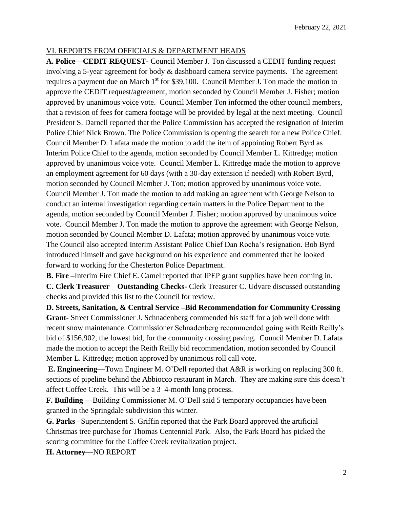## VI. REPORTS FROM OFFICIALS & DEPARTMENT HEADS

**A. Police**—**CEDIT REQUEST-** Council Member J. Ton discussed a CEDIT funding request involving a 5-year agreement for body & dashboard camera service payments. The agreement requires a payment due on March  $1<sup>st</sup>$  for \$39,100. Council Member J. Ton made the motion to approve the CEDIT request/agreement, motion seconded by Council Member J. Fisher; motion approved by unanimous voice vote. Council Member Ton informed the other council members, that a revision of fees for camera footage will be provided by legal at the next meeting. Council President S. Darnell reported that the Police Commission has accepted the resignation of Interim Police Chief Nick Brown. The Police Commission is opening the search for a new Police Chief. Council Member D. Lafata made the motion to add the item of appointing Robert Byrd as Interim Police Chief to the agenda, motion seconded by Council Member L. Kittredge; motion approved by unanimous voice vote. Council Member L. Kittredge made the motion to approve an employment agreement for 60 days (with a 30-day extension if needed) with Robert Byrd, motion seconded by Council Member J. Ton; motion approved by unanimous voice vote. Council Member J. Ton made the motion to add making an agreement with George Nelson to conduct an internal investigation regarding certain matters in the Police Department to the agenda, motion seconded by Council Member J. Fisher; motion approved by unanimous voice vote. Council Member J. Ton made the motion to approve the agreement with George Nelson, motion seconded by Council Member D. Lafata; motion approved by unanimous voice vote. The Council also accepted Interim Assistant Police Chief Dan Rocha's resignation. Bob Byrd introduced himself and gave background on his experience and commented that he looked forward to working for the Chesterton Police Department.

**B. Fire –**Interim Fire Chief E. Camel reported that IPEP grant supplies have been coming in. **C. Clerk Treasurer** – **Outstanding Checks-** Clerk Treasurer C. Udvare discussed outstanding checks and provided this list to the Council for review.

**D. Streets, Sanitation, & Central Service –Bid Recommendation for Community Crossing Grant-** Street Commissioner J. Schnadenberg commended his staff for a job well done with recent snow maintenance. Commissioner Schnadenberg recommended going with Reith Reilly's bid of \$156,902, the lowest bid, for the community crossing paving. Council Member D. Lafata made the motion to accept the Reith Reilly bid recommendation, motion seconded by Council Member L. Kittredge; motion approved by unanimous roll call vote.

**E. Engineering**—Town Engineer M. O'Dell reported that A&R is working on replacing 300 ft. sections of pipeline behind the Abbiocco restaurant in March. They are making sure this doesn't affect Coffee Creek. This will be a 3–4-month long process.

**F. Building** —Building Commissioner M. O'Dell said 5 temporary occupancies have been granted in the Springdale subdivision this winter.

**G. Parks –**Superintendent S. Griffin reported that the Park Board approved the artificial Christmas tree purchase for Thomas Centennial Park. Also, the Park Board has picked the scoring committee for the Coffee Creek revitalization project.

**H. Attorney**—NO REPORT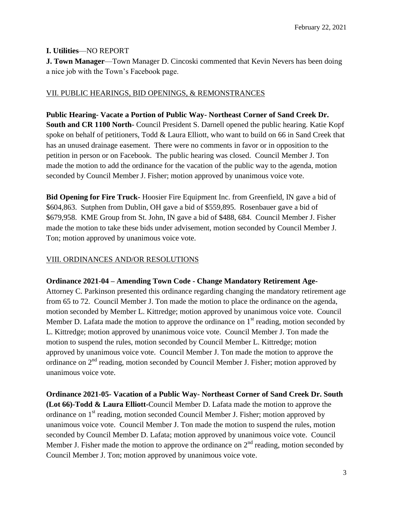# **I. Utilities**—NO REPORT

**J. Town Manager**—Town Manager D. Cincoski commented that Kevin Nevers has been doing a nice job with the Town's Facebook page.

## VII. PUBLIC HEARINGS, BID OPENINGS, & REMONSTRANCES

**Public Hearing- Vacate a Portion of Public Way- Northeast Corner of Sand Creek Dr. South and CR 1100 North-** Council President S. Darnell opened the public hearing. Katie Kopf spoke on behalf of petitioners, Todd & Laura Elliott, who want to build on 66 in Sand Creek that has an unused drainage easement. There were no comments in favor or in opposition to the petition in person or on Facebook. The public hearing was closed. Council Member J. Ton made the motion to add the ordinance for the vacation of the public way to the agenda, motion seconded by Council Member J. Fisher; motion approved by unanimous voice vote.

**Bid Opening for Fire Truck-** Hoosier Fire Equipment Inc. from Greenfield, IN gave a bid of \$604,863. Sutphen from Dublin, OH gave a bid of \$559,895. Rosenbauer gave a bid of \$679,958. KME Group from St. John, IN gave a bid of \$488, 684. Council Member J. Fisher made the motion to take these bids under advisement, motion seconded by Council Member J. Ton; motion approved by unanimous voice vote.

#### VIII. ORDINANCES AND/OR RESOLUTIONS

#### **Ordinance 2021-04 – Amending Town Code - Change Mandatory Retirement Age-**

Attorney C. Parkinson presented this ordinance regarding changing the mandatory retirement age from 65 to 72. Council Member J. Ton made the motion to place the ordinance on the agenda, motion seconded by Member L. Kittredge; motion approved by unanimous voice vote. Council Member D. Lafata made the motion to approve the ordinance on  $1<sup>st</sup>$  reading, motion seconded by L. Kittredge; motion approved by unanimous voice vote. Council Member J. Ton made the motion to suspend the rules, motion seconded by Council Member L. Kittredge; motion approved by unanimous voice vote. Council Member J. Ton made the motion to approve the ordinance on 2<sup>nd</sup> reading, motion seconded by Council Member J. Fisher; motion approved by unanimous voice vote.

**Ordinance 2021-05- Vacation of a Public Way- Northeast Corner of Sand Creek Dr. South (Lot 66)-Todd & Laura Elliott-**Council Member D. Lafata made the motion to approve the ordinance on 1<sup>st</sup> reading, motion seconded Council Member J. Fisher; motion approved by unanimous voice vote. Council Member J. Ton made the motion to suspend the rules, motion seconded by Council Member D. Lafata; motion approved by unanimous voice vote. Council Member J. Fisher made the motion to approve the ordinance on  $2<sup>nd</sup>$  reading, motion seconded by Council Member J. Ton; motion approved by unanimous voice vote.